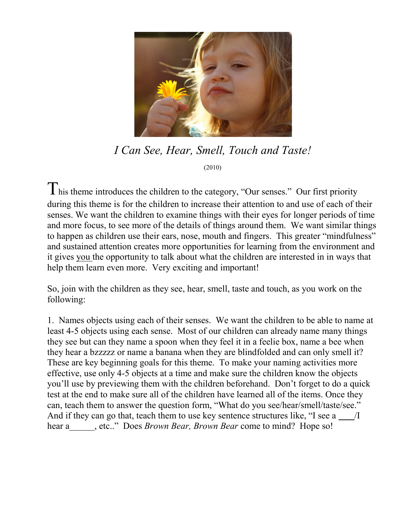

*I Can See, Hear, Smell, Touch and Taste!* (2010)

This theme introduces the children to the category, "Our senses." Our first priority during this theme is for the children to increase their attention to and use of each of their senses. We want the children to examine things with their eyes for longer periods of time and more focus, to see more of the details of things around them. We want similar things to happen as children use their ears, nose, mouth and fingers. This greater "mindfulness" and sustained attention creates more opportunities for learning from the environment and it gives you the opportunity to talk about what the children are interested in in ways that help them learn even more. Very exciting and important!

So, join with the children as they see, hear, smell, taste and touch, as you work on the following:

1. Names objects using each of their senses. We want the children to be able to name at least 4-5 objects using each sense. Most of our children can already name many things they see but can they name a spoon when they feel it in a feelie box, name a bee when they hear a bzzzzz or name a banana when they are blindfolded and can only smell it? These are key beginning goals for this theme. To make your naming activities more effective, use only 4-5 objects at a time and make sure the children know the objects you'll use by previewing them with the children beforehand. Don't forget to do a quick test at the end to make sure all of the children have learned all of the items. Once they can, teach them to answer the question form, "What do you see/hear/smell/taste/see." And if they can go that, teach them to use key sentence structures like, "I see a /I hear a<sub>, etc.</sub>." Does *Brown Bear, Brown Bear* come to mind? Hope so!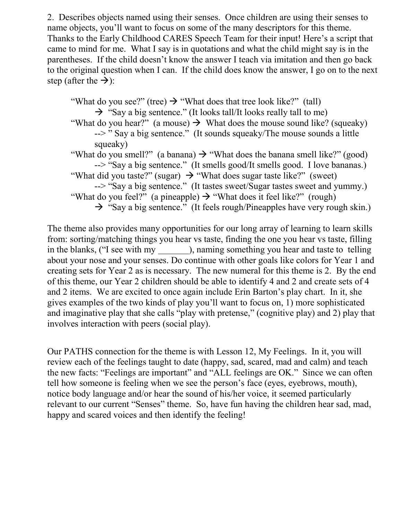2. Describes objects named using their senses. Once children are using their senses to name objects, you'll want to focus on some of the many descriptors for this theme. Thanks to the Early Childhood CARES Speech Team for their input! Here's a script that came to mind for me. What I say is in quotations and what the child might say is in the parentheses. If the child doesn't know the answer I teach via imitation and then go back to the original question when I can. If the child does know the answer, I go on to the next step (after the  $\rightarrow$ ):

"What do you see?" (tree)  $\rightarrow$  "What does that tree look like?" (tall)  $\rightarrow$  "Say a big sentence." (It looks tall/It looks really tall to me) "What do you hear?" (a mouse)  $\rightarrow$  What does the mouse sound like? (squeaky) --> " Say a big sentence." (It sounds squeaky/The mouse sounds a little squeaky) "What do you smell?" (a banana)  $\rightarrow$  "What does the banana smell like?" (good) --> "Say a big sentence." (It smells good/It smells good. I love bananas.) "What did you taste?" (sugar)  $\rightarrow$  "What does sugar taste like?" (sweet) --> "Say a big sentence." (It tastes sweet/Sugar tastes sweet and yummy.) "What do you feel?" (a pineapple)  $\rightarrow$  "What does it feel like?" (rough)  $\rightarrow$  "Say a big sentence." (It feels rough/Pineapples have very rough skin.)

The theme also provides many opportunities for our long array of learning to learn skills from: sorting/matching things you hear vs taste, finding the one you hear vs taste, filling in the blanks, ("I see with my ), naming something you hear and taste to telling about your nose and your senses. Do continue with other goals like colors for Year 1 and creating sets for Year 2 as is necessary. The new numeral for this theme is 2. By the end of this theme, our Year 2 children should be able to identify 4 and 2 and create sets of 4 and 2 items. We are excited to once again include Erin Barton's play chart. In it, she gives examples of the two kinds of play you'll want to focus on, 1) more sophisticated and imaginative play that she calls "play with pretense," (cognitive play) and 2) play that involves interaction with peers (social play).

Our PATHS connection for the theme is with Lesson 12, My Feelings. In it, you will review each of the feelings taught to date (happy, sad, scared, mad and calm) and teach the new facts: "Feelings are important" and "ALL feelings are OK." Since we can often tell how someone is feeling when we see the person's face (eyes, eyebrows, mouth), notice body language and/or hear the sound of his/her voice, it seemed particularly relevant to our current "Senses" theme. So, have fun having the children hear sad, mad, happy and scared voices and then identify the feeling!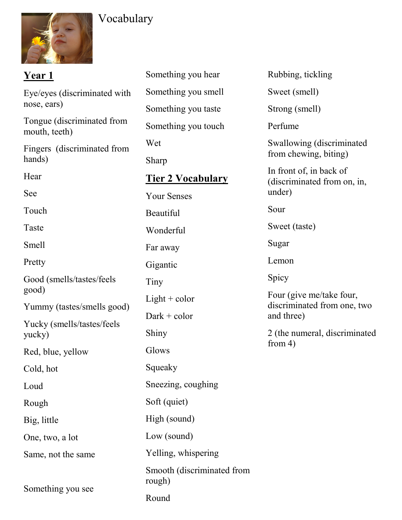

# Vocabulary

| <u>Year 1</u>                               | Something you hear                   | Rubbing, tickling                                      |  |
|---------------------------------------------|--------------------------------------|--------------------------------------------------------|--|
| Eye/eyes (discriminated with<br>nose, ears) | Something you smell                  | Sweet (smell)                                          |  |
|                                             | Something you taste                  | Strong (smell)                                         |  |
| Tongue (discriminated from<br>mouth, teeth) | Something you touch                  | Perfume                                                |  |
| Fingers (discriminated from                 | Wet                                  | Swallowing (discriminated                              |  |
| hands)                                      | Sharp                                | from chewing, biting)                                  |  |
| Hear                                        | <b>Tier 2 Vocabulary</b>             | In front of, in back of<br>(discriminated from on, in, |  |
| See                                         | <b>Your Senses</b>                   | under)                                                 |  |
| Touch                                       | Beautiful                            | Sour                                                   |  |
| Taste                                       | Wonderful                            | Sweet (taste)                                          |  |
| Smell                                       | Far away                             | Sugar                                                  |  |
| Pretty                                      | Gigantic                             | Lemon                                                  |  |
| Good (smells/tastes/feels                   | Tiny                                 | Spicy                                                  |  |
| good)                                       | $Light + color$                      | Four (give me/take four,                               |  |
| Yummy (tastes/smells good)                  | $Dark + color$                       | discriminated from one, two<br>and three)              |  |
| Yucky (smells/tastes/feels<br>yucky)        | Shiny                                | 2 (the numeral, discriminated                          |  |
| Red, blue, yellow                           | Glows                                | from $4)$                                              |  |
| Cold, hot                                   | Squeaky                              |                                                        |  |
| Loud                                        | Sneezing, coughing                   |                                                        |  |
| Rough                                       | Soft (quiet)                         |                                                        |  |
| Big, little                                 | High (sound)                         |                                                        |  |
| One, two, a lot                             | Low (sound)                          |                                                        |  |
| Same, not the same                          | Yelling, whispering                  |                                                        |  |
| Something you see                           | Smooth (discriminated from<br>rough) |                                                        |  |
|                                             | Round                                |                                                        |  |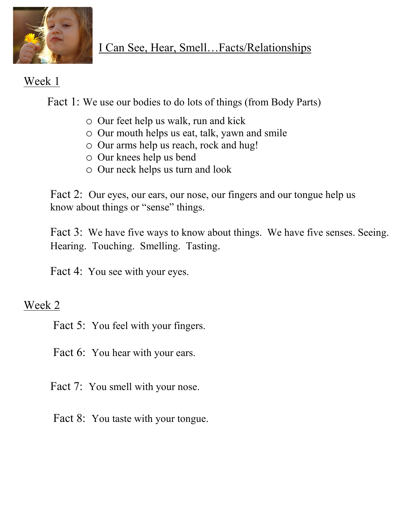

# Week 1

Fact 1: We use our bodies to do lots of things (from Body Parts)

- o Our feet help us walk, run and kick
- o Our mouth helps us eat, talk, yawn and smile
- o Our arms help us reach, rock and hug!
- o Our knees help us bend
- o Our neck helps us turn and look

Fact 2: Our eyes, our ears, our nose, our fingers and our tongue help us know about things or "sense" things.

Fact 3: We have five ways to know about things. We have five senses. Seeing. Hearing. Touching. Smelling. Tasting.

Fact 4: You see with your eyes.

# Week 2

- Fact 5: You feel with your fingers.
- Fact 6: You hear with your ears.
- Fact 7: You smell with your nose.
- Fact 8: You taste with your tongue.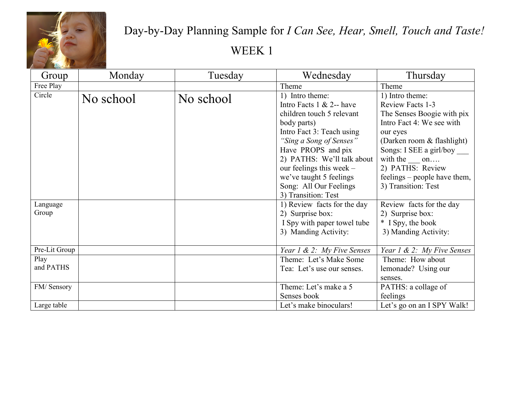

# Day-by-Day Planning Sample for *I Can See, Hear, Smell, Touch and Taste!*  WEEK 1

| Group         | Monday    | Tuesday   | Wednesday                    | Thursday                       |
|---------------|-----------|-----------|------------------------------|--------------------------------|
| Free Play     |           |           | Theme                        | Theme                          |
| Circle        | No school | No school | 1) Intro theme:              | 1) Intro theme:                |
|               |           |           | Intro Facts $1 \& 2$ -- have | Review Facts 1-3               |
|               |           |           | children touch 5 relevant    | The Senses Boogie with pix     |
|               |           |           | body parts)                  | Intro Fact 4: We see with      |
|               |           |           | Intro Fact 3: Teach using    | our eyes                       |
|               |           |           | "Sing a Song of Senses"      | (Darken room & flashlight)     |
|               |           |           | Have PROPS and pix           | Songs: I SEE a girl/boy _____  |
|               |           |           | 2) PATHS: We'll talk about   | with the on                    |
|               |           |           | our feelings this week $-$   | 2) PATHS: Review               |
|               |           |           | we've taught 5 feelings      | feelings – people have them,   |
|               |           |           | Song: All Our Feelings       | 3) Transition: Test            |
|               |           |           | 3) Transition: Test          |                                |
| Language      |           |           | 1) Review facts for the day  | Review facts for the day       |
| Group         |           |           | 2) Surprise box:             | 2) Surprise box:               |
|               |           |           | I Spy with paper towel tube  | * I Spy, the book              |
|               |           |           | 3) Manding Activity:         | 3) Manding Activity:           |
|               |           |           |                              |                                |
| Pre-Lit Group |           |           | Year 1 & 2: My Five Senses   | Year $1 \& 2$ : My Five Senses |
| Play          |           |           | Theme: Let's Make Some       | Theme: How about               |
| and PATHS     |           |           | Tea: Let's use our senses.   | lemonade? Using our            |
|               |           |           |                              | senses.                        |
| FM/Sensory    |           |           | Theme: Let's make a 5        | PATHS: a collage of            |
|               |           |           | Senses book                  | feelings                       |
| Large table   |           |           | Let's make binoculars!       | Let's go on an I SPY Walk!     |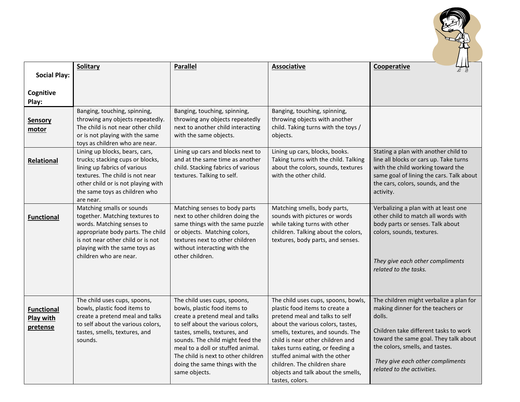

|                                                   | <b>Solitary</b>                                                                                                                                                                                                               | <b>Parallel</b>                                                                                                                                                                                                                                                                                                                          | <b>Associative</b>                                                                                                                                                                                                                                                                                                                                                                  | Cooperative                                                                                                                                                                                                                                                                   |
|---------------------------------------------------|-------------------------------------------------------------------------------------------------------------------------------------------------------------------------------------------------------------------------------|------------------------------------------------------------------------------------------------------------------------------------------------------------------------------------------------------------------------------------------------------------------------------------------------------------------------------------------|-------------------------------------------------------------------------------------------------------------------------------------------------------------------------------------------------------------------------------------------------------------------------------------------------------------------------------------------------------------------------------------|-------------------------------------------------------------------------------------------------------------------------------------------------------------------------------------------------------------------------------------------------------------------------------|
| <b>Social Play:</b>                               |                                                                                                                                                                                                                               |                                                                                                                                                                                                                                                                                                                                          |                                                                                                                                                                                                                                                                                                                                                                                     |                                                                                                                                                                                                                                                                               |
| Cognitive<br>Play:                                |                                                                                                                                                                                                                               |                                                                                                                                                                                                                                                                                                                                          |                                                                                                                                                                                                                                                                                                                                                                                     |                                                                                                                                                                                                                                                                               |
| <b>Sensory</b><br>motor                           | Banging, touching, spinning,<br>throwing any objects repeatedly.<br>The child is not near other child<br>or is not playing with the same<br>toys as children who are near.                                                    | Banging, touching, spinning,<br>throwing any objects repeatedly<br>next to another child interacting<br>with the same objects.                                                                                                                                                                                                           | Banging, touching, spinning,<br>throwing objects with another<br>child. Taking turns with the toys /<br>objects.                                                                                                                                                                                                                                                                    |                                                                                                                                                                                                                                                                               |
| <b>Relational</b>                                 | Lining up blocks, bears, cars,<br>trucks; stacking cups or blocks,<br>lining up fabrics of various<br>textures. The child is not near<br>other child or is not playing with<br>the same toys as children who<br>are near.     | Lining up cars and blocks next to<br>and at the same time as another<br>child. Stacking fabrics of various<br>textures. Talking to self.                                                                                                                                                                                                 | Lining up cars, blocks, books.<br>Taking turns with the child. Talking<br>about the colors, sounds, textures<br>with the other child.                                                                                                                                                                                                                                               | Stating a plan with another child to<br>line all blocks or cars up. Take turns<br>with the child working toward the<br>same goal of lining the cars. Talk about<br>the cars, colors, sounds, and the<br>activity.                                                             |
| <b>Functional</b>                                 | Matching smalls or sounds<br>together. Matching textures to<br>words. Matching senses to<br>appropriate body parts. The child<br>is not near other child or is not<br>playing with the same toys as<br>children who are near. | Matching senses to body parts<br>next to other children doing the<br>same things with the same puzzle<br>or objects. Matching colors,<br>textures next to other children<br>without interacting with the<br>other children.                                                                                                              | Matching smells, body parts,<br>sounds with pictures or words<br>while taking turns with other<br>children. Talking about the colors,<br>textures, body parts, and senses.                                                                                                                                                                                                          | Verbalizing a plan with at least one<br>other child to match all words with<br>body parts or senses. Talk about<br>colors, sounds, textures.<br>They give each other compliments<br>related to the tasks.                                                                     |
| <b>Functional</b><br><b>Play with</b><br>pretense | The child uses cups, spoons,<br>bowls, plastic food items to<br>create a pretend meal and talks<br>to self about the various colors,<br>tastes, smells, textures, and<br>sounds.                                              | The child uses cups, spoons,<br>bowls, plastic food items to<br>create a pretend meal and talks<br>to self about the various colors,<br>tastes, smells, textures, and<br>sounds. The child might feed the<br>meal to a doll or stuffed animal.<br>The child is next to other children<br>doing the same things with the<br>same objects. | The child uses cups, spoons, bowls,<br>plastic food items to create a<br>pretend meal and talks to self<br>about the various colors, tastes,<br>smells, textures, and sounds. The<br>child is near other children and<br>takes turns eating, or feeding a<br>stuffed animal with the other<br>children. The children share<br>objects and talk about the smells,<br>tastes, colors. | The children might verbalize a plan for<br>making dinner for the teachers or<br>dolls.<br>Children take different tasks to work<br>toward the same goal. They talk about<br>the colors, smells, and tastes.<br>They give each other compliments<br>related to the activities. |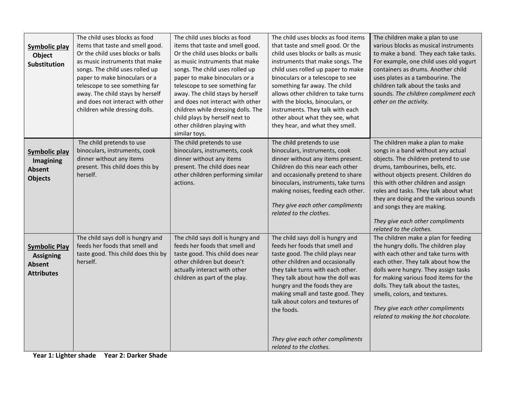| Symbolic play<br>Object<br>Substitution                                        | The child uses blocks as food<br>items that taste and smell good.<br>Or the child uses blocks or balls<br>as music instruments that make<br>songs. The child uses rolled up<br>paper to make binoculars or a<br>telescope to see something far<br>away. The child stays by herself<br>and does not interact with other<br>children while dressing dolls. | The child uses blocks as food<br>items that taste and smell good.<br>Or the child uses blocks or balls<br>as music instruments that make<br>songs. The child uses rolled up<br>paper to make binoculars or a<br>telescope to see something far<br>away. The child stays by herself<br>and does not interact with other<br>children while dressing dolls. The<br>child plays by herself next to<br>other children playing with<br>similar toys. | The child uses blocks as food items<br>that taste and smell good. Or the<br>child uses blocks or balls as music<br>instruments that make songs. The<br>child uses rolled up paper to make<br>binoculars or a telescope to see<br>something far away. The child<br>allows other children to take turns<br>with the blocks, binoculars, or<br>instruments. They talk with each<br>other about what they see, what<br>they hear, and what they smell. | The children make a plan to use<br>various blocks as musical instruments<br>to make a band. They each take tasks.<br>For example, one child uses old yogurt<br>containers as drums. Another child<br>uses plates as a tambourine. The<br>children talk about the tasks and<br>sounds. The children compliment each<br>other on the activity.                                                                    |
|--------------------------------------------------------------------------------|----------------------------------------------------------------------------------------------------------------------------------------------------------------------------------------------------------------------------------------------------------------------------------------------------------------------------------------------------------|------------------------------------------------------------------------------------------------------------------------------------------------------------------------------------------------------------------------------------------------------------------------------------------------------------------------------------------------------------------------------------------------------------------------------------------------|----------------------------------------------------------------------------------------------------------------------------------------------------------------------------------------------------------------------------------------------------------------------------------------------------------------------------------------------------------------------------------------------------------------------------------------------------|-----------------------------------------------------------------------------------------------------------------------------------------------------------------------------------------------------------------------------------------------------------------------------------------------------------------------------------------------------------------------------------------------------------------|
| <b>Symbolic play</b><br>Imagining<br>Absent<br><b>Objects</b>                  | The child pretends to use<br>binoculars, instruments, cook<br>dinner without any items<br>present. This child does this by<br>herself.                                                                                                                                                                                                                   | The child pretends to use<br>binoculars, instruments, cook<br>dinner without any items<br>present. The child does near<br>other children performing similar<br>actions.                                                                                                                                                                                                                                                                        | The child pretends to use<br>binoculars, instruments, cook<br>dinner without any items present.<br>Children do this near each other<br>and occasionally pretend to share<br>binoculars, instruments, take turns<br>making noises, feeding each other.<br>They give each other compliments<br>related to the clothes.                                                                                                                               | The children make a plan to make<br>songs in a band without any actual<br>objects. The children pretend to use<br>drums, tambourines, bells, etc.<br>without objects present. Children do<br>this with other children and assign<br>roles and tasks. They talk about what<br>they are doing and the various sounds<br>and songs they are making.<br>They give each other compliments<br>related to the clothes. |
| <b>Symbolic Play</b><br><b>Assigning</b><br><b>Absent</b><br><b>Attributes</b> | The child says doll is hungry and<br>feeds her foods that smell and<br>taste good. This child does this by<br>herself.                                                                                                                                                                                                                                   | The child says doll is hungry and<br>feeds her foods that smell and<br>taste good. This child does near<br>other children but doesn't<br>actually interact with other<br>children as part of the play.                                                                                                                                                                                                                                         | The child says doll is hungry and<br>feeds her foods that smell and<br>taste good. The child plays near<br>other children and occasionally<br>they take turns with each other.<br>They talk about how the doll was<br>hungry and the foods they are<br>making small and taste good. They<br>talk about colors and textures of<br>the foods.<br>They give each other compliments<br>related to the clothes.                                         | The children make a plan for feeding<br>the hungry dolls. The children play<br>with each other and take turns with<br>each other. They talk about how the<br>dolls were hungry. They assign tasks<br>for making various food items for the<br>dolls. They talk about the tastes,<br>smells, colors, and textures.<br>They give each other compliments<br>related to making the hot chocolate.                   |

**Year 1: Lighter shade Year 2: Darker Shade**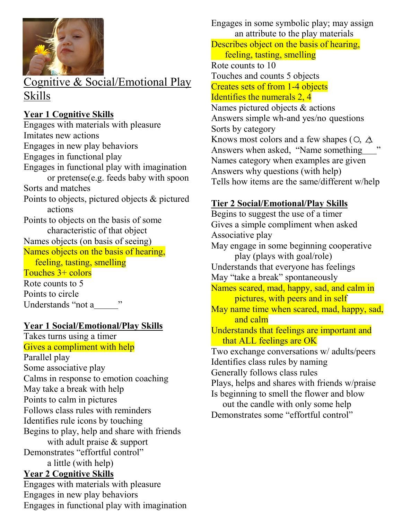

## Cognitive & Social/Emotional Play Skills

#### **Year 1 Cognitive Skills**

Engages with materials with pleasure Imitates new actions Engages in new play behaviors Engages in functional play Engages in functional play with imagination or pretense(e.g. feeds baby with spoon Sorts and matches Points to objects, pictured objects & pictured actions Points to objects on the basis of some characteristic of that object Names objects (on basis of seeing) Names objects on the basis of hearing, feeling, tasting, smelling Touches 3+ colors Rote counts to 5 Points to circle Understands "not a \_\_\_\_\_\_\_\_ "

#### **Year 1 Social/Emotional/Play Skills**

Takes turns using a timer Gives a compliment with help Parallel play Some associative play Calms in response to emotion coaching May take a break with help Points to calm in pictures Follows class rules with reminders Identifies rule icons by touching Begins to play, help and share with friends with adult praise & support Demonstrates "effortful control" a little (with help) **Year 2 Cognitive Skills** Engages with materials with pleasure Engages in new play behaviors

Engages in functional play with imagination

Engages in some symbolic play; may assign an attribute to the play materials Describes object on the basis of hearing, feeling, tasting, smelling Rote counts to 10 Touches and counts 5 objects Creates sets of from 1-4 objects Identifies the numerals 2, 4 Names pictured objects & actions Answers simple wh-and yes/no questions Sorts by category Knows most colors and a few shapes ( $\circ$ ,  $\Delta$ Answers when asked, "Name something Names category when examples are given Answers why questions (with help) Tells how items are the same/different w/help

#### **Tier 2 Social/Emotional/Play Skills**

Begins to suggest the use of a timer Gives a simple compliment when asked Associative play May engage in some beginning cooperative play (plays with goal/role) Understands that everyone has feelings May "take a break" spontaneously Names scared, mad, happy, sad, and calm in pictures, with peers and in self May name time when scared, mad, happy, sad, and calm Understands that feelings are important and that ALL feelings are OK Two exchange conversations w/ adults/peers Identifies class rules by naming Generally follows class rules Plays, helps and shares with friends w/praise Is beginning to smell the flower and blow out the candle with only some help Demonstrates some "effortful control"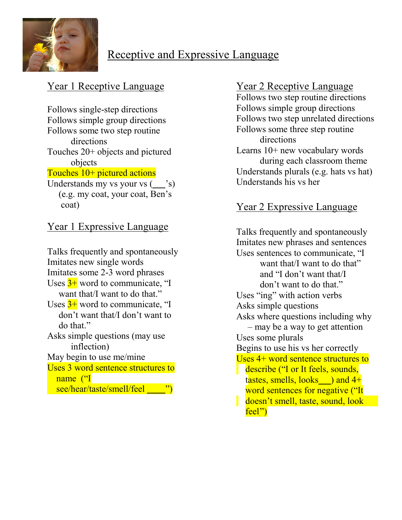

# Receptive and Expressive Language

## Year 1 Receptive Language

Follows single-step directions Follows simple group directions Follows some two step routine directions Touches 20+ objects and pictured objects Touches 10+ pictured actions Understands my vs your vs  $($   $\cdot$ s) (e.g. my coat, your coat, Ben's

coat)

## Year 1 Expressive Language

Talks frequently and spontaneously Imitates new single words Imitates some 2-3 word phrases Uses  $3+$  word to communicate, "I want that/I want to do that." Uses  $3+$  word to communicate. "I don't want that/I don't want to do that." Asks simple questions (may use inflection) May begin to use me/mine Uses 3 word sentence structures to name ("I see/hear/taste/smell/feel ")

#### Year 2 Receptive Language

Follows two step routine directions Follows simple group directions Follows two step unrelated directions Follows some three step routine directions Learns 10+ new vocabulary words during each classroom theme Understands plurals (e.g. hats vs hat) Understands his vs her

## Year 2 Expressive Language

Talks frequently and spontaneously Imitates new phrases and sentences Uses sentences to communicate, "I want that/I want to do that" and "I don't want that/I don't want to do that." Uses "ing" with action verbs Asks simple questions Asks where questions including why – may be a way to get attention Uses some plurals Begins to use his vs her correctly Uses 4+ word sentence structures to describe ("I or It feels, sounds,  $t$ astes, smells, looks  $\theta$  and 4+ word sentences for negative ("It doesn't smell, taste, sound, look feel")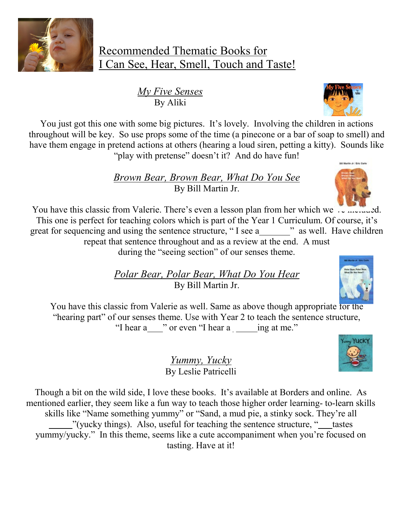

*My Five Senses* By Aliki

You just got this one with some big pictures. It's lovely. Involving the children in actions throughout will be key. So use props some of the time (a pinecone or a bar of soap to smell) and have them engage in pretend actions at others (hearing a loud siren, petting a kitty). Sounds like "play with pretense" doesn't it? And do have fun!

> *Brown Bear, Brown Bear, What Do You See* By Bill Martin Jr.



You have this classic from Valerie. There's even a lesson plan from her which we vermented. This one is perfect for teaching colors which is part of the Year 1 Curriculum. Of course, it's great for sequencing and using the sentence structure, "I see a " as well. Have children repeat that sentence throughout and as a review at the end. A must during the "seeing section" of our senses theme.

> *Polar Bear, Polar Bear, What Do You Hear* By Bill Martin Jr.





*Yummy, Yucky* By Leslie Patricelli

Though a bit on the wild side, I love these books. It's available at Borders and online. As mentioned earlier, they seem like a fun way to teach those higher order learning- to-learn skills skills like "Name something yummy" or "Sand, a mud pie, a stinky sock. They're all "(yucky things). Also, useful for teaching the sentence structure, "\_\_\_tastes yummy/yucky." In this theme, seems like a cute accompaniment when you're focused on tasting. Have at it!

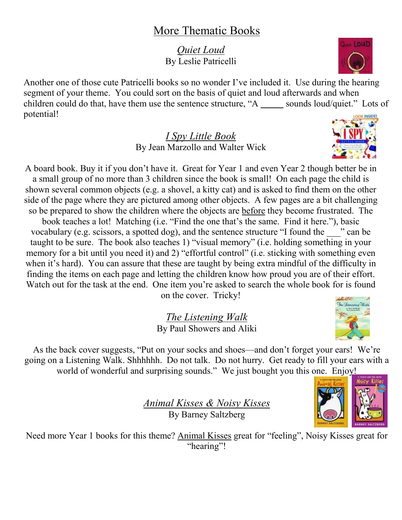## More Thematic Books

*Quiet Loud* By Leslie Patricelli

Another one of those cute Patricelli books so no wonder I've included it. Use during the hearing segment of your theme. You could sort on the basis of quiet and loud afterwards and when children could do that, have them use the sentence structure, "A sounds loud/quiet." Lots of potential!

> *I Spy Little Book* By Jean Marzollo and Walter Wick

A board book. Buy it if you don't have it. Great for Year 1 and even Year 2 though better be in a small group of no more than 3 children since the book is small! On each page the child is shown several common objects (e.g. a shovel, a kitty cat) and is asked to find them on the other side of the page where they are pictured among other objects. A few pages are a bit challenging so be prepared to show the children where the objects are before they become frustrated. The book teaches a lot! Matching (i.e. "Find the one that's the same. Find it here."), basic vocabulary (e.g. scissors, a spotted dog), and the sentence structure "I found the \_\_\_" can be taught to be sure. The book also teaches 1) "visual memory" (i.e. holding something in your memory for a bit until you need it) and 2) "effortful control" (i.e. sticking with something even when it's hard). You can assure that these are taught by being extra mindful of the difficulty in finding the items on each page and letting the children know how proud you are of their effort. Watch out for the task at the end. One item you're asked to search the whole book for is found on the cover. Tricky!

> *The Listening Walk* By Paul Showers and Aliki

As the back cover suggests, "Put on your socks and shoes—and don't forget your ears! We're going on a Listening Walk. Shhhhhh. Do not talk. Do not hurry. Get ready to fill your ears with a world of wonderful and surprising sounds." We just bought you this one. Enjoy!

> *Animal Kisses & Noisy Kisses* By Barney Saltzberg

Need more Year 1 books for this theme? Animal Kisses great for "feeling", Noisy Kisses great for "hearing"!





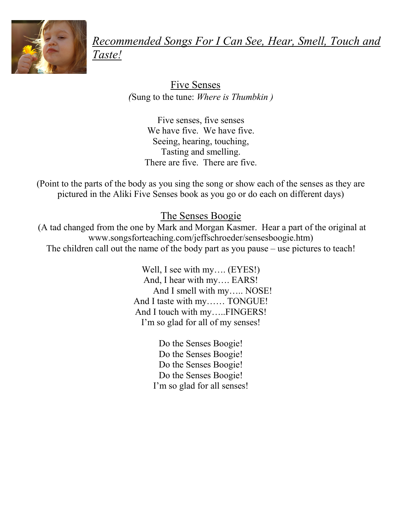

*Recommended Songs For I Can See, Hear, Smell, Touch and Taste!*

> Five Senses *(*Sung to the tune: *Where is Thumbkin )*

Five senses, five senses We have five. We have five. Seeing, hearing, touching, Tasting and smelling. There are five. There are five.

(Point to the parts of the body as you sing the song or show each of the senses as they are pictured in the Aliki Five Senses book as you go or do each on different days)

## The Senses Boogie

(A tad changed from the one by Mark and Morgan Kasmer. Hear a part of the original at www.songsforteaching.com/jeffschroeder/sensesboogie.htm) The children call out the name of the body part as you pause – use pictures to teach!

> Well, I see with my…. (EYES!) And, I hear with my…. EARS! And I smell with my….. NOSE! And I taste with my…… TONGUE! And I touch with my…..FINGERS! I'm so glad for all of my senses!

> > Do the Senses Boogie! Do the Senses Boogie! Do the Senses Boogie! Do the Senses Boogie! I'm so glad for all senses!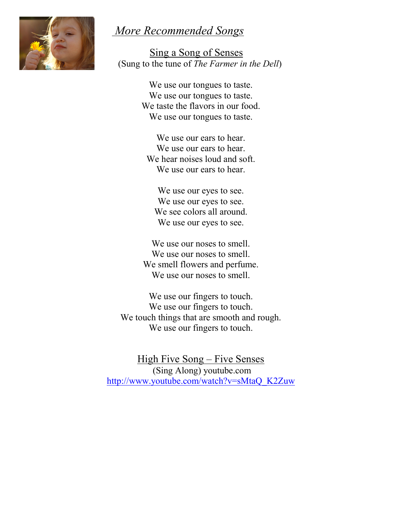## *More Recommended Songs*



 Sing a Song of Senses (Sung to the tune of *The Farmer in the Dell*)

> We use our tongues to taste. We use our tongues to taste. We taste the flavors in our food. We use our tongues to taste.

We use our ears to hear. We use our ears to hear. We hear noises loud and soft. We use our ears to hear.

We use our eyes to see. We use our eyes to see. We see colors all around. We use our eyes to see.

We use our noses to smell. We use our noses to smell. We smell flowers and perfume. We use our noses to smell.

We use our fingers to touch. We use our fingers to touch. We touch things that are smooth and rough. We use our fingers to touch.

High Five Song – Five Senses (Sing Along) youtube.com [http://www.youtube.com/watch?v=sMtaQ\\_K2Zuw](http://www.youtube.com/watch?v=sMtaQ_K2Zuw)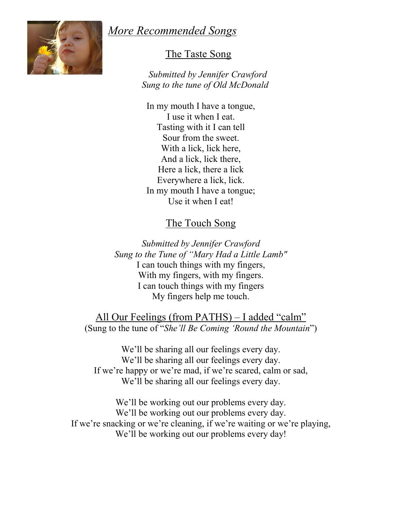## *More Recommended Songs*



#### The Taste Song

 *Submitted by Jennifer Crawford Sung to the tune of Old McDonald*

In my mouth I have a tongue, I use it when I eat. Tasting with it I can tell Sour from the sweet. With a lick, lick here, And a lick, lick there, Here a lick, there a lick Everywhere a lick, lick. In my mouth I have a tongue; Use it when I eat!

#### The Touch Song

*Submitted by Jennifer Crawford Sung to the Tune of "Mary Had a Little Lamb"* I can touch things with my fingers, With my fingers, with my fingers. I can touch things with my fingers My fingers help me touch.

All Our Feelings (from PATHS) – I added "calm" (Sung to the tune of "*She'll Be Coming 'Round the Mountain*")

We'll be sharing all our feelings every day. We'll be sharing all our feelings every day. If we're happy or we're mad, if we're scared, calm or sad, We'll be sharing all our feelings every day.

We'll be working out our problems every day. We'll be working out our problems every day. If we're snacking or we're cleaning, if we're waiting or we're playing, We'll be working out our problems every day!